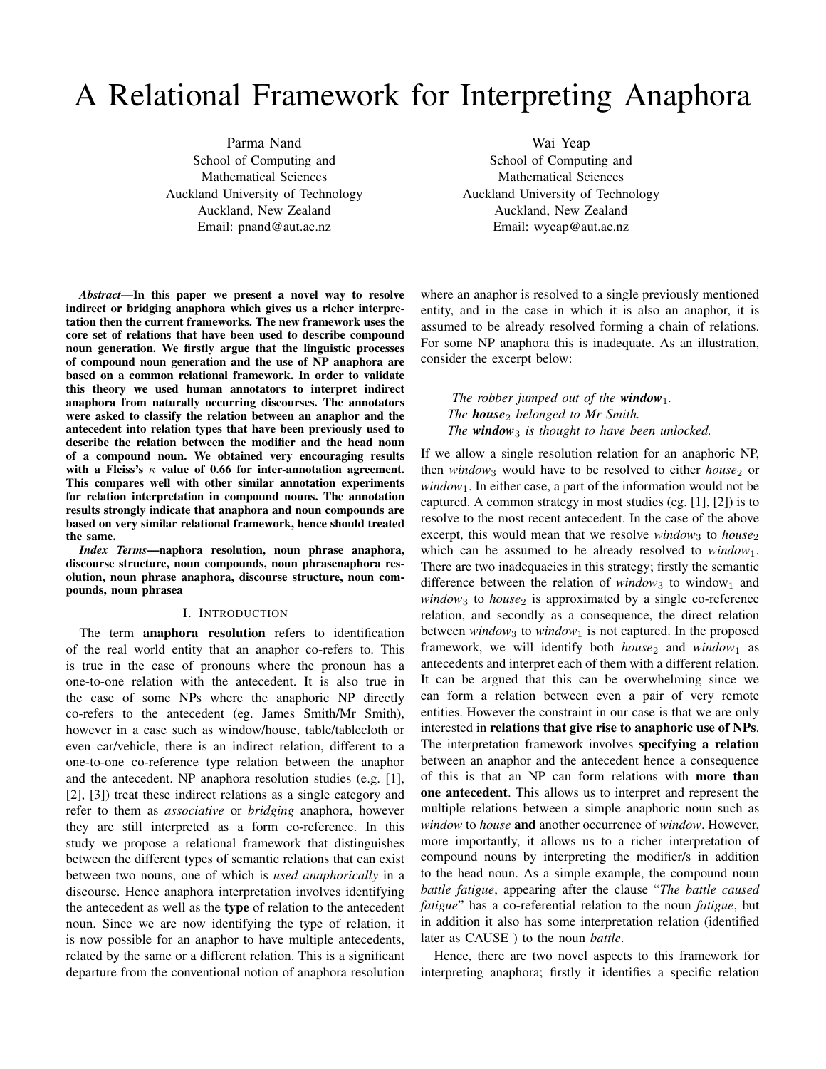# A Relational Framework for Interpreting Anaphora

Parma Nand School of Computing and Mathematical Sciences Auckland University of Technology Auckland, New Zealand Email: pnand@aut.ac.nz

Wai Yeap School of Computing and Mathematical Sciences Auckland University of Technology Auckland, New Zealand Email: wyeap@aut.ac.nz

*Abstract*—In this paper we present a novel way to resolve indirect or bridging anaphora which gives us a richer interpretation then the current frameworks. The new framework uses the core set of relations that have been used to describe compound noun generation. We firstly argue that the linguistic processes of compound noun generation and the use of NP anaphora are based on a common relational framework. In order to validate this theory we used human annotators to interpret indirect anaphora from naturally occurring discourses. The annotators were asked to classify the relation between an anaphor and the antecedent into relation types that have been previously used to describe the relation between the modifier and the head noun of a compound noun. We obtained very encouraging results with a Fleiss's  $\kappa$  value of 0.66 for inter-annotation agreement. This compares well with other similar annotation experiments for relation interpretation in compound nouns. The annotation results strongly indicate that anaphora and noun compounds are based on very similar relational framework, hence should treated the same.

*Index Terms*—naphora resolution, noun phrase anaphora, discourse structure, noun compounds, noun phrasenaphora resolution, noun phrase anaphora, discourse structure, noun compounds, noun phrasea

#### I. INTRODUCTION

The term **anaphora resolution** refers to identification of the real world entity that an anaphor co-refers to. This is true in the case of pronouns where the pronoun has a one-to-one relation with the antecedent. It is also true in the case of some NPs where the anaphoric NP directly co-refers to the antecedent (eg. James Smith/Mr Smith), however in a case such as window/house, table/tablecloth or even car/vehicle, there is an indirect relation, different to a one-to-one co-reference type relation between the anaphor and the antecedent. NP anaphora resolution studies (e.g. [1], [2], [3]) treat these indirect relations as a single category and refer to them as *associative* or *bridging* anaphora, however they are still interpreted as a form co-reference. In this study we propose a relational framework that distinguishes between the different types of semantic relations that can exist between two nouns, one of which is *used anaphorically* in a discourse. Hence anaphora interpretation involves identifying the antecedent as well as the type of relation to the antecedent noun. Since we are now identifying the type of relation, it is now possible for an anaphor to have multiple antecedents, related by the same or a different relation. This is a significant departure from the conventional notion of anaphora resolution

where an anaphor is resolved to a single previously mentioned entity, and in the case in which it is also an anaphor, it is assumed to be already resolved forming a chain of relations. For some NP anaphora this is inadequate. As an illustration, consider the excerpt below:

*The robber jumped out of the window*1*. The house*<sup>2</sup> *belonged to Mr Smith. The window*<sup>3</sup> *is thought to have been unlocked.*

If we allow a single resolution relation for an anaphoric NP, then *window*<sub>3</sub> would have to be resolved to either *house*<sub>2</sub> or *window*1. In either case, a part of the information would not be captured. A common strategy in most studies (eg. [1], [2]) is to resolve to the most recent antecedent. In the case of the above excerpt, this would mean that we resolve *window*<sub>3</sub> to *house*<sub>2</sub> which can be assumed to be already resolved to *window*1. There are two inadequacies in this strategy; firstly the semantic difference between the relation of  $window_3$  to window<sub>1</sub> and  $window<sub>3</sub>$  to *house*<sub>2</sub> is approximated by a single co-reference relation, and secondly as a consequence, the direct relation between  $window_3$  to  $window_1$  is not captured. In the proposed framework, we will identify both *house*<sub>2</sub> and *window*<sub>1</sub> as antecedents and interpret each of them with a different relation. It can be argued that this can be overwhelming since we can form a relation between even a pair of very remote entities. However the constraint in our case is that we are only interested in relations that give rise to anaphoric use of NPs. The interpretation framework involves specifying a relation between an anaphor and the antecedent hence a consequence of this is that an NP can form relations with more than one antecedent. This allows us to interpret and represent the multiple relations between a simple anaphoric noun such as *window* to *house* and another occurrence of *window*. However, more importantly, it allows us to a richer interpretation of compound nouns by interpreting the modifier/s in addition to the head noun. As a simple example, the compound noun *battle fatigue*, appearing after the clause "*The battle caused fatigue*" has a co-referential relation to the noun *fatigue*, but in addition it also has some interpretation relation (identified later as CAUSE ) to the noun *battle*.

Hence, there are two novel aspects to this framework for interpreting anaphora; firstly it identifies a specific relation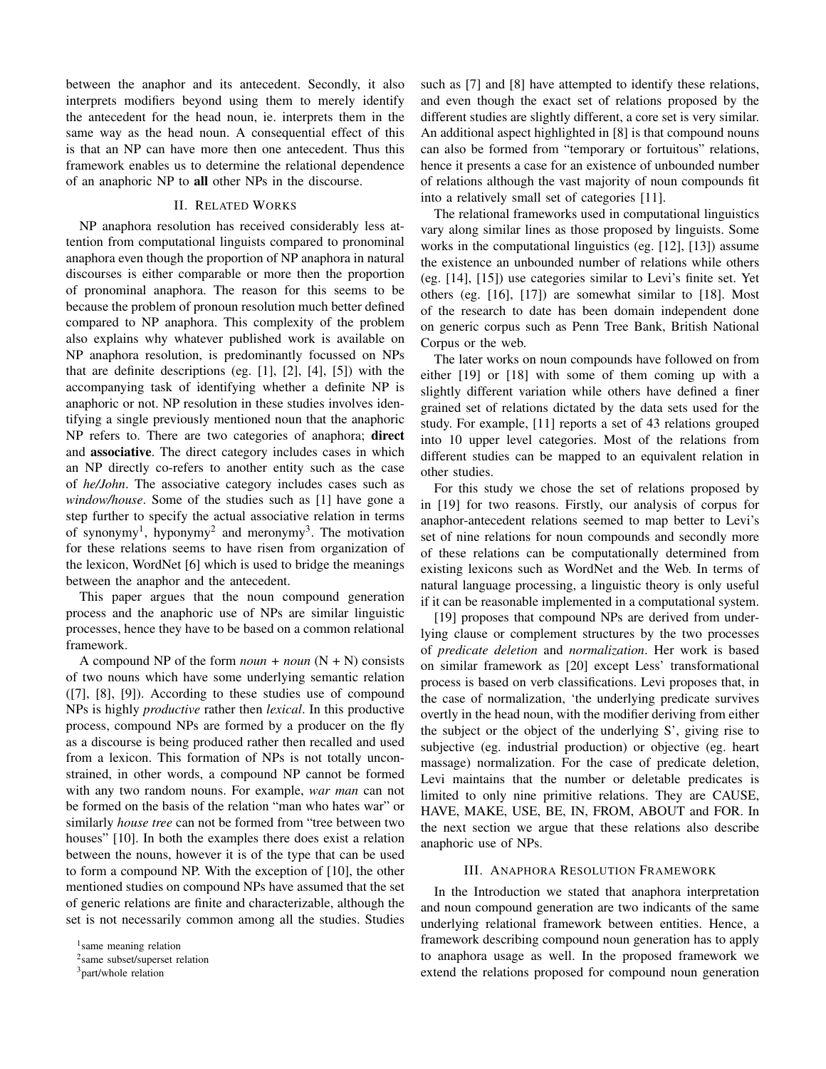between the anaphor and its antecedent. Secondly, it also interprets modifiers beyond using them to merely identify the antecedent for the head noun, ie. interprets them in the same way as the head noun. A consequential effect of this is that an NP can have more then one antecedent. Thus this framework enables us to determine the relational dependence of an anaphoric NP to all other NPs in the discourse.

## II. RELATED WORKS

NP anaphora resolution has received considerably less attention from computational linguists compared to pronominal anaphora even though the proportion of NP anaphora in natural discourses is either comparable or more then the proportion of pronominal anaphora. The reason for this seems to be because the problem of pronoun resolution much better defined compared to NP anaphora. This complexity of the problem also explains why whatever published work is available on NP anaphora resolution, is predominantly focussed on NPs that are definite descriptions (eg. [1], [2], [4], [5]) with the accompanying task of identifying whether a definite NP is anaphoric or not. NP resolution in these studies involves identifying a single previously mentioned noun that the anaphoric NP refers to. There are two categories of anaphora; direct and associative. The direct category includes cases in which an NP directly co-refers to another entity such as the case of *he/John*. The associative category includes cases such as *window/house*. Some of the studies such as [1] have gone a step further to specify the actual associative relation in terms of synonymy<sup>1</sup>, hyponymy<sup>2</sup> and meronymy<sup>3</sup>. The motivation for these relations seems to have risen from organization of the lexicon, WordNet [6] which is used to bridge the meanings between the anaphor and the antecedent.

This paper argues that the noun compound generation process and the anaphoric use of NPs are similar linguistic processes, hence they have to be based on a common relational framework.

A compound NP of the form  $noun + noun$  (N + N) consists of two nouns which have some underlying semantic relation ([7], [8], [9]). According to these studies use of compound NPs is highly *productive* rather then *lexical*. In this productive process, compound NPs are formed by a producer on the fly as a discourse is being produced rather then recalled and used from a lexicon. This formation of NPs is not totally unconstrained, in other words, a compound NP cannot be formed with any two random nouns. For example, *war man* can not be formed on the basis of the relation "man who hates war" or similarly *house tree* can not be formed from "tree between two houses" [10]. In both the examples there does exist a relation between the nouns, however it is of the type that can be used to form a compound NP. With the exception of [10], the other mentioned studies on compound NPs have assumed that the set of generic relations are finite and characterizable, although the set is not necessarily common among all the studies. Studies

<sup>3</sup>part/whole relation

such as [7] and [8] have attempted to identify these relations, and even though the exact set of relations proposed by the different studies are slightly different, a core set is very similar. An additional aspect highlighted in [8] is that compound nouns can also be formed from "temporary or fortuitous" relations, hence it presents a case for an existence of unbounded number of relations although the vast majority of noun compounds fit into a relatively small set of categories [11].

The relational frameworks used in computational linguistics vary along similar lines as those proposed by linguists. Some works in the computational linguistics (eg. [12], [13]) assume the existence an unbounded number of relations while others (eg. [14], [15]) use categories similar to Levi's finite set. Yet others (eg. [16], [17]) are somewhat similar to [18]. Most of the research to date has been domain independent done on generic corpus such as Penn Tree Bank, British National Corpus or the web.

The later works on noun compounds have followed on from either [19] or [18] with some of them coming up with a slightly different variation while others have defined a finer grained set of relations dictated by the data sets used for the study. For example, [11] reports a set of 43 relations grouped into 10 upper level categories. Most of the relations from different studies can be mapped to an equivalent relation in other studies.

For this study we chose the set of relations proposed by in [19] for two reasons. Firstly, our analysis of corpus for anaphor-antecedent relations seemed to map better to Levi's set of nine relations for noun compounds and secondly more of these relations can be computationally determined from existing lexicons such as WordNet and the Web. In terms of natural language processing, a linguistic theory is only useful if it can be reasonable implemented in a computational system.

[19] proposes that compound NPs are derived from underlying clause or complement structures by the two processes of *predicate deletion* and *normalization*. Her work is based on similar framework as [20] except Less' transformational process is based on verb classifications. Levi proposes that, in the case of normalization, 'the underlying predicate survives overtly in the head noun, with the modifier deriving from either the subject or the object of the underlying S', giving rise to subjective (eg. industrial production) or objective (eg. heart massage) normalization. For the case of predicate deletion, Levi maintains that the number or deletable predicates is limited to only nine primitive relations. They are CAUSE, HAVE, MAKE, USE, BE, IN, FROM, ABOUT and FOR. In the next section we argue that these relations also describe anaphoric use of NPs.

# III. ANAPHORA RESOLUTION FRAMEWORK

In the Introduction we stated that anaphora interpretation and noun compound generation are two indicants of the same underlying relational framework between entities. Hence, a framework describing compound noun generation has to apply to anaphora usage as well. In the proposed framework we extend the relations proposed for compound noun generation

<sup>&</sup>lt;sup>1</sup> same meaning relation

<sup>2</sup> same subset/superset relation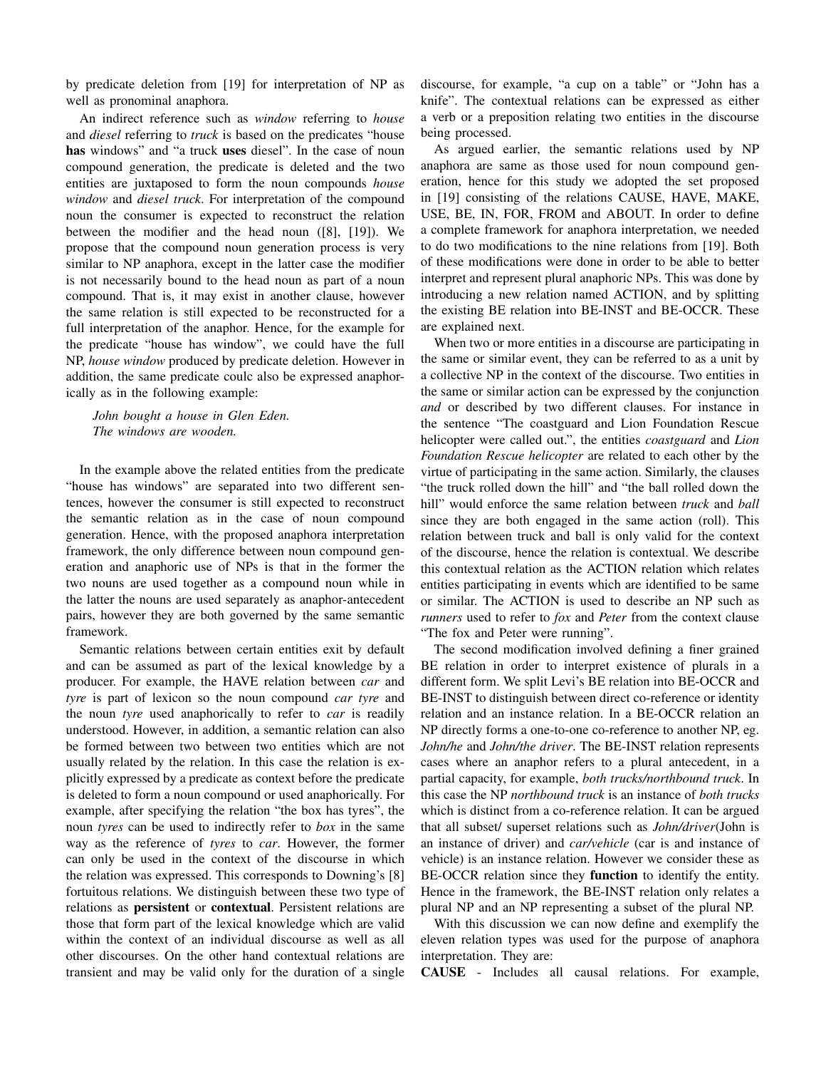by predicate deletion from [19] for interpretation of NP as well as pronominal anaphora.

An indirect reference such as *window* referring to *house* and *diesel* referring to *truck* is based on the predicates "house has windows" and "a truck uses diesel". In the case of noun compound generation, the predicate is deleted and the two entities are juxtaposed to form the noun compounds *house window* and *diesel truck*. For interpretation of the compound noun the consumer is expected to reconstruct the relation between the modifier and the head noun ([8], [19]). We propose that the compound noun generation process is very similar to NP anaphora, except in the latter case the modifier is not necessarily bound to the head noun as part of a noun compound. That is, it may exist in another clause, however the same relation is still expected to be reconstructed for a full interpretation of the anaphor. Hence, for the example for the predicate "house has window", we could have the full NP, *house window* produced by predicate deletion. However in addition, the same predicate coulc also be expressed anaphorically as in the following example:

*John bought a house in Glen Eden. The windows are wooden.*

In the example above the related entities from the predicate "house has windows" are separated into two different sentences, however the consumer is still expected to reconstruct the semantic relation as in the case of noun compound generation. Hence, with the proposed anaphora interpretation framework, the only difference between noun compound generation and anaphoric use of NPs is that in the former the two nouns are used together as a compound noun while in the latter the nouns are used separately as anaphor-antecedent pairs, however they are both governed by the same semantic framework.

Semantic relations between certain entities exit by default and can be assumed as part of the lexical knowledge by a producer. For example, the HAVE relation between *car* and *tyre* is part of lexicon so the noun compound *car tyre* and the noun *tyre* used anaphorically to refer to *car* is readily understood. However, in addition, a semantic relation can also be formed between two between two entities which are not usually related by the relation. In this case the relation is explicitly expressed by a predicate as context before the predicate is deleted to form a noun compound or used anaphorically. For example, after specifying the relation "the box has tyres", the noun *tyres* can be used to indirectly refer to *box* in the same way as the reference of *tyres* to *car*. However, the former can only be used in the context of the discourse in which the relation was expressed. This corresponds to Downing's [8] fortuitous relations. We distinguish between these two type of relations as persistent or contextual. Persistent relations are those that form part of the lexical knowledge which are valid within the context of an individual discourse as well as all other discourses. On the other hand contextual relations are transient and may be valid only for the duration of a single discourse, for example, "a cup on a table" or "John has a knife". The contextual relations can be expressed as either a verb or a preposition relating two entities in the discourse being processed.

As argued earlier, the semantic relations used by NP anaphora are same as those used for noun compound generation, hence for this study we adopted the set proposed in [19] consisting of the relations CAUSE, HAVE, MAKE, USE, BE, IN, FOR, FROM and ABOUT. In order to define a complete framework for anaphora interpretation, we needed to do two modifications to the nine relations from [19]. Both of these modifications were done in order to be able to better interpret and represent plural anaphoric NPs. This was done by introducing a new relation named ACTION, and by splitting the existing BE relation into BE-INST and BE-OCCR. These are explained next.

When two or more entities in a discourse are participating in the same or similar event, they can be referred to as a unit by a collective NP in the context of the discourse. Two entities in the same or similar action can be expressed by the conjunction *and* or described by two different clauses. For instance in the sentence "The coastguard and Lion Foundation Rescue helicopter were called out.", the entities *coastguard* and *Lion Foundation Rescue helicopter* are related to each other by the virtue of participating in the same action. Similarly, the clauses "the truck rolled down the hill" and "the ball rolled down the hill" would enforce the same relation between *truck* and *ball* since they are both engaged in the same action (roll). This relation between truck and ball is only valid for the context of the discourse, hence the relation is contextual. We describe this contextual relation as the ACTION relation which relates entities participating in events which are identified to be same or similar. The ACTION is used to describe an NP such as *runners* used to refer to *fox* and *Peter* from the context clause "The fox and Peter were running".

The second modification involved defining a finer grained BE relation in order to interpret existence of plurals in a different form. We split Levi's BE relation into BE-OCCR and BE-INST to distinguish between direct co-reference or identity relation and an instance relation. In a BE-OCCR relation an NP directly forms a one-to-one co-reference to another NP, eg. *John/he* and *John/the driver*. The BE-INST relation represents cases where an anaphor refers to a plural antecedent, in a partial capacity, for example, *both trucks/northbound truck*. In this case the NP *northbound truck* is an instance of *both trucks* which is distinct from a co-reference relation. It can be argued that all subset/ superset relations such as *John/driver*(John is an instance of driver) and *car/vehicle* (car is and instance of vehicle) is an instance relation. However we consider these as BE-OCCR relation since they function to identify the entity. Hence in the framework, the BE-INST relation only relates a plural NP and an NP representing a subset of the plural NP.

With this discussion we can now define and exemplify the eleven relation types was used for the purpose of anaphora interpretation. They are:

CAUSE - Includes all causal relations. For example,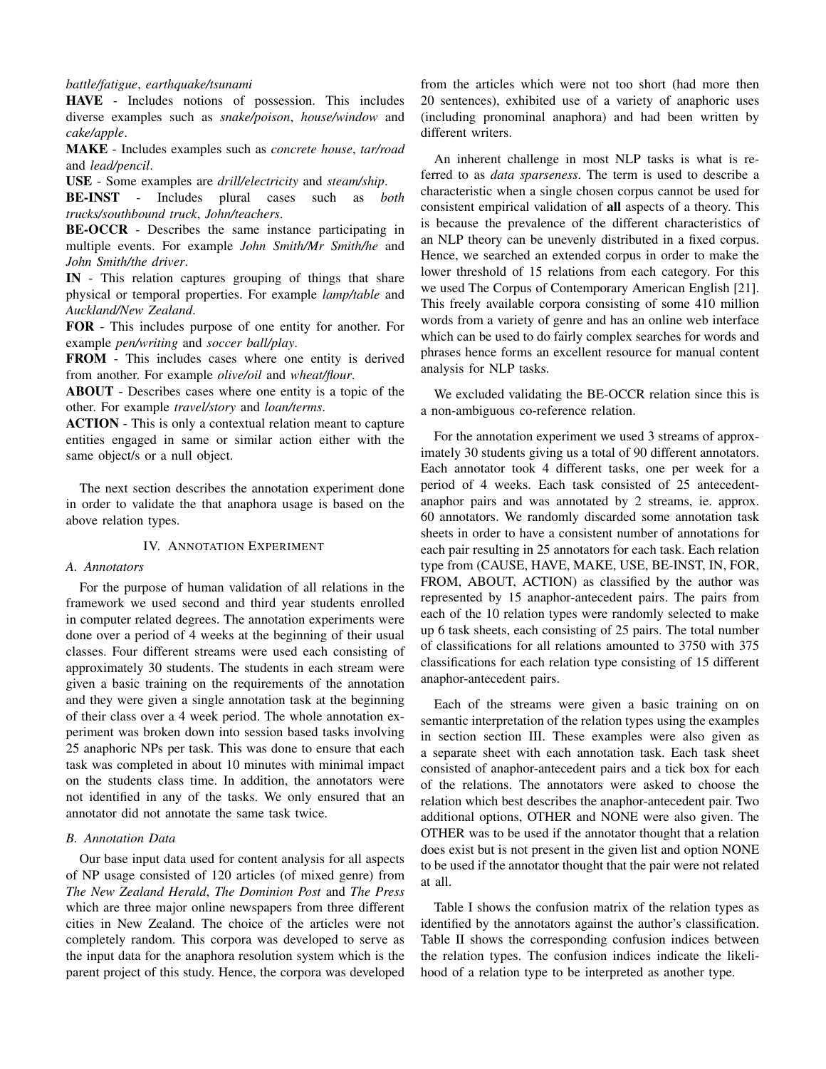## *battle/fatigue*, *earthquake/tsunami*

HAVE - Includes notions of possession. This includes diverse examples such as *snake/poison*, *house/window* and *cake/apple*.

MAKE - Includes examples such as *concrete house*, *tar/road* and *lead/pencil*.

USE - Some examples are *drill/electricity* and *steam/ship*.

BE-INST - Includes plural cases such as *both trucks/southbound truck*, *John/teachers*.

BE-OCCR - Describes the same instance participating in multiple events. For example *John Smith/Mr Smith/he* and *John Smith/the driver*.

IN - This relation captures grouping of things that share physical or temporal properties. For example *lamp/table* and *Auckland/New Zealand*.

FOR - This includes purpose of one entity for another. For example *pen/writing* and *soccer ball/play*.

FROM - This includes cases where one entity is derived from another. For example *olive/oil* and *wheat/flour*.

ABOUT - Describes cases where one entity is a topic of the other. For example *travel/story* and *loan/terms*.

ACTION - This is only a contextual relation meant to capture entities engaged in same or similar action either with the same object/s or a null object.

The next section describes the annotation experiment done in order to validate the that anaphora usage is based on the above relation types.

# IV. ANNOTATION EXPERIMENT

#### *A. Annotators*

For the purpose of human validation of all relations in the framework we used second and third year students enrolled in computer related degrees. The annotation experiments were done over a period of 4 weeks at the beginning of their usual classes. Four different streams were used each consisting of approximately 30 students. The students in each stream were given a basic training on the requirements of the annotation and they were given a single annotation task at the beginning of their class over a 4 week period. The whole annotation experiment was broken down into session based tasks involving 25 anaphoric NPs per task. This was done to ensure that each task was completed in about 10 minutes with minimal impact on the students class time. In addition, the annotators were not identified in any of the tasks. We only ensured that an annotator did not annotate the same task twice.

# *B. Annotation Data*

Our base input data used for content analysis for all aspects of NP usage consisted of 120 articles (of mixed genre) from *The New Zealand Herald*, *The Dominion Post* and *The Press* which are three major online newspapers from three different cities in New Zealand. The choice of the articles were not completely random. This corpora was developed to serve as the input data for the anaphora resolution system which is the parent project of this study. Hence, the corpora was developed

from the articles which were not too short (had more then 20 sentences), exhibited use of a variety of anaphoric uses (including pronominal anaphora) and had been written by different writers.

An inherent challenge in most NLP tasks is what is referred to as *data sparseness*. The term is used to describe a characteristic when a single chosen corpus cannot be used for consistent empirical validation of all aspects of a theory. This is because the prevalence of the different characteristics of an NLP theory can be unevenly distributed in a fixed corpus. Hence, we searched an extended corpus in order to make the lower threshold of 15 relations from each category. For this we used The Corpus of Contemporary American English [21]. This freely available corpora consisting of some 410 million words from a variety of genre and has an online web interface which can be used to do fairly complex searches for words and phrases hence forms an excellent resource for manual content analysis for NLP tasks.

We excluded validating the BE-OCCR relation since this is a non-ambiguous co-reference relation.

For the annotation experiment we used 3 streams of approximately 30 students giving us a total of 90 different annotators. Each annotator took 4 different tasks, one per week for a period of 4 weeks. Each task consisted of 25 antecedentanaphor pairs and was annotated by 2 streams, ie. approx. 60 annotators. We randomly discarded some annotation task sheets in order to have a consistent number of annotations for each pair resulting in 25 annotators for each task. Each relation type from (CAUSE, HAVE, MAKE, USE, BE-INST, IN, FOR, FROM, ABOUT, ACTION) as classified by the author was represented by 15 anaphor-antecedent pairs. The pairs from each of the 10 relation types were randomly selected to make up 6 task sheets, each consisting of 25 pairs. The total number of classifications for all relations amounted to 3750 with 375 classifications for each relation type consisting of 15 different anaphor-antecedent pairs.

Each of the streams were given a basic training on on semantic interpretation of the relation types using the examples in section section III. These examples were also given as a separate sheet with each annotation task. Each task sheet consisted of anaphor-antecedent pairs and a tick box for each of the relations. The annotators were asked to choose the relation which best describes the anaphor-antecedent pair. Two additional options, OTHER and NONE were also given. The OTHER was to be used if the annotator thought that a relation does exist but is not present in the given list and option NONE to be used if the annotator thought that the pair were not related at all.

Table I shows the confusion matrix of the relation types as identified by the annotators against the author's classification. Table II shows the corresponding confusion indices between the relation types. The confusion indices indicate the likelihood of a relation type to be interpreted as another type.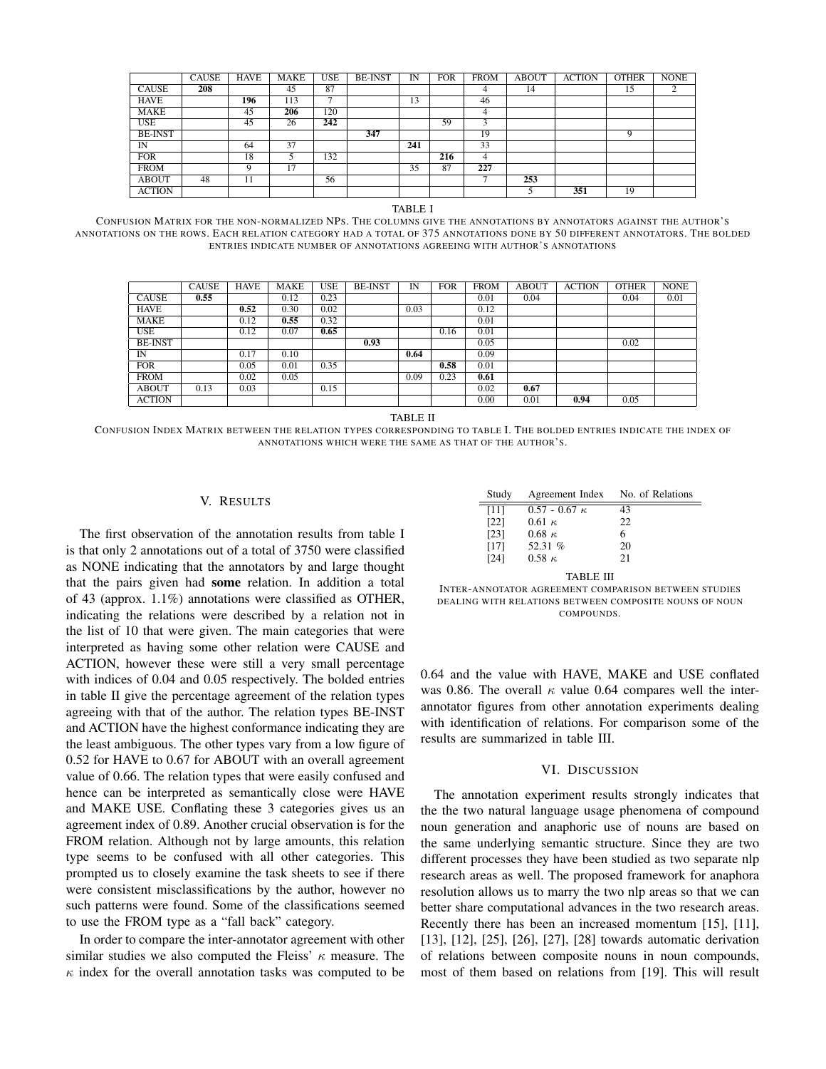|                | <b>CAUSE</b> | <b>HAVE</b> | <b>MAKE</b> | <b>USE</b>   | <b>BE-INST</b> | IN  | <b>FOR</b> | <b>FROM</b>       | <b>ABOUT</b> | <b>ACTION</b> | <b>OTHER</b> | <b>NONE</b> |
|----------------|--------------|-------------|-------------|--------------|----------------|-----|------------|-------------------|--------------|---------------|--------------|-------------|
| <b>CAUSE</b>   | 208          |             | 45          | 87           |                |     |            | 4                 | 14           |               | 15           |             |
| <b>HAVE</b>    |              | 196         | 113         | $\mathbf{r}$ |                | 13  |            | 46                |              |               |              |             |
| <b>MAKE</b>    |              | 45          | 206         | 120          |                |     |            | 4                 |              |               |              |             |
| <b>USE</b>     |              | 45          | 26          | 242          |                |     | 59         | $\mathbf{\Omega}$ |              |               |              |             |
| <b>BE-INST</b> |              |             |             |              | 347            |     |            | 19                |              |               | $\Omega$     |             |
| IN             |              | 64          | 37          |              |                | 241 |            | 33                |              |               |              |             |
| <b>FOR</b>     |              | 18          |             | 132          |                |     | 216        | 4                 |              |               |              |             |
| <b>FROM</b>    |              | Q           | 17          |              |                | 35  | 87         | 227               |              |               |              |             |
| <b>ABOUT</b>   | 48           | 11          |             | 56           |                |     |            |                   | 253          |               |              |             |
| <b>ACTION</b>  |              |             |             |              |                |     |            |                   |              | 351           | 19           |             |

TABLE I

CONFUSION MATRIX FOR THE NON-NORMALIZED NPS. THE COLUMNS GIVE THE ANNOTATIONS BY ANNOTATORS AGAINST THE AUTHOR'S ANNOTATIONS ON THE ROWS. EACH RELATION CATEGORY HAD A TOTAL OF 375 ANNOTATIONS DONE BY 50 DIFFERENT ANNOTATORS. THE BOLDED ENTRIES INDICATE NUMBER OF ANNOTATIONS AGREEING WITH AUTHOR'S ANNOTATIONS

|                | <b>CAUSE</b> | <b>HAVE</b> | <b>MAKE</b> | <b>USE</b> | <b>BE-INST</b> | IN   | FOR  | <b>FROM</b> | <b>ABOUT</b> | <b>ACTION</b> | <b>OTHER</b> | <b>NONE</b> |
|----------------|--------------|-------------|-------------|------------|----------------|------|------|-------------|--------------|---------------|--------------|-------------|
| <b>CAUSE</b>   | 0.55         |             | 0.12        | 0.23       |                |      |      | 0.01        | 0.04         |               | 0.04         | 0.01        |
| <b>HAVE</b>    |              | 0.52        | 0.30        | 0.02       |                | 0.03 |      | 0.12        |              |               |              |             |
| <b>MAKE</b>    |              | 0.12        | 0.55        | 0.32       |                |      |      | 0.01        |              |               |              |             |
| <b>USE</b>     |              | 0.12        | 0.07        | 0.65       |                |      | 0.16 | 0.01        |              |               |              |             |
| <b>BE-INST</b> |              |             |             |            | 0.93           |      |      | 0.05        |              |               | 0.02         |             |
| IN             |              | 0.17        | 0.10        |            |                | 0.64 |      | 0.09        |              |               |              |             |
| <b>FOR</b>     |              | 0.05        | 0.01        | 0.35       |                |      | 0.58 | 0.01        |              |               |              |             |
| <b>FROM</b>    |              | 0.02        | 0.05        |            |                | 0.09 | 0.23 | 0.61        |              |               |              |             |
| <b>ABOUT</b>   | 0.13         | 0.03        |             | 0.15       |                |      |      | 0.02        | 0.67         |               |              |             |
| <b>ACTION</b>  |              |             |             |            |                |      |      | 0.00        | 0.01         | 0.94          | 0.05         |             |

TABLE II

CONFUSION INDEX MATRIX BETWEEN THE RELATION TYPES CORRESPONDING TO TABLE I. THE BOLDED ENTRIES INDICATE THE INDEX OF ANNOTATIONS WHICH WERE THE SAME AS THAT OF THE AUTHOR'S.

## V. RESULTS

The first observation of the annotation results from table I is that only 2 annotations out of a total of 3750 were classified as NONE indicating that the annotators by and large thought that the pairs given had some relation. In addition a total of 43 (approx. 1.1%) annotations were classified as OTHER, indicating the relations were described by a relation not in the list of 10 that were given. The main categories that were interpreted as having some other relation were CAUSE and ACTION, however these were still a very small percentage with indices of 0.04 and 0.05 respectively. The bolded entries in table II give the percentage agreement of the relation types agreeing with that of the author. The relation types BE-INST and ACTION have the highest conformance indicating they are the least ambiguous. The other types vary from a low figure of 0.52 for HAVE to 0.67 for ABOUT with an overall agreement value of 0.66. The relation types that were easily confused and hence can be interpreted as semantically close were HAVE and MAKE USE. Conflating these 3 categories gives us an agreement index of 0.89. Another crucial observation is for the FROM relation. Although not by large amounts, this relation type seems to be confused with all other categories. This prompted us to closely examine the task sheets to see if there were consistent misclassifications by the author, however no such patterns were found. Some of the classifications seemed to use the FROM type as a "fall back" category.

In order to compare the inter-annotator agreement with other similar studies we also computed the Fleiss'  $\kappa$  measure. The  $\kappa$  index for the overall annotation tasks was computed to be

| Study | Agreement Index No. of Relations |    |
|-------|----------------------------------|----|
| [11]  | $0.57 - 0.67 \kappa$             | 43 |
| [22]  | $0.61~\kappa$                    | 22 |
| [23]  | $0.68~\kappa$                    | 6  |
| [17]  | 52.31 %                          | 20 |
| [24]  | $0.58\ \kappa$                   | 21 |
|       |                                  |    |

TABLE III

INTER-ANNOTATOR AGREEMENT COMPARISON BETWEEN STUDIES DEALING WITH RELATIONS BETWEEN COMPOSITE NOUNS OF NOUN **COMPOUNDS** 

0.64 and the value with HAVE, MAKE and USE conflated was 0.86. The overall  $\kappa$  value 0.64 compares well the interannotator figures from other annotation experiments dealing with identification of relations. For comparison some of the results are summarized in table III.

## VI. DISCUSSION

The annotation experiment results strongly indicates that the the two natural language usage phenomena of compound noun generation and anaphoric use of nouns are based on the same underlying semantic structure. Since they are two different processes they have been studied as two separate nlp research areas as well. The proposed framework for anaphora resolution allows us to marry the two nlp areas so that we can better share computational advances in the two research areas. Recently there has been an increased momentum [15], [11], [13], [12], [25], [26], [27], [28] towards automatic derivation of relations between composite nouns in noun compounds, most of them based on relations from [19]. This will result